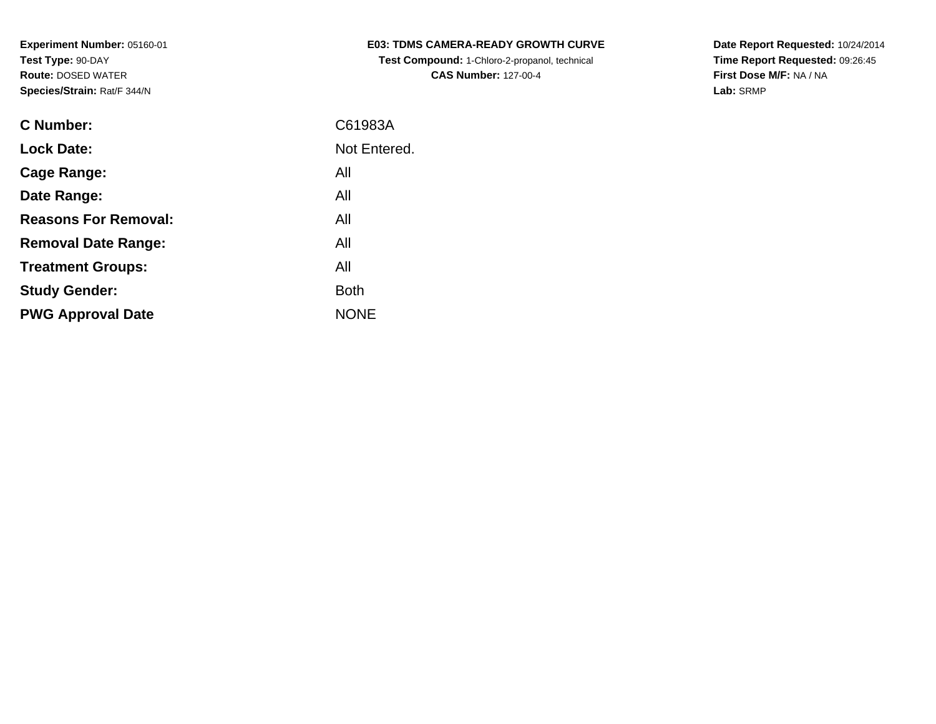| <b>E03: TDMS CAMERA-READY GROWTH CURVE</b>    |
|-----------------------------------------------|
| Test Compound: 1-Chloro-2-propanol, technical |
| <b>CAS Number: 127-00-4</b>                   |

| C Number:                   | C61983A      |
|-----------------------------|--------------|
| <b>Lock Date:</b>           | Not Entered. |
| Cage Range:                 | All          |
| Date Range:                 | All          |
| <b>Reasons For Removal:</b> | All          |
| <b>Removal Date Range:</b>  | All          |
| <b>Treatment Groups:</b>    | All          |
| <b>Study Gender:</b>        | <b>Both</b>  |
| <b>PWG Approval Date</b>    | <b>NONE</b>  |
|                             |              |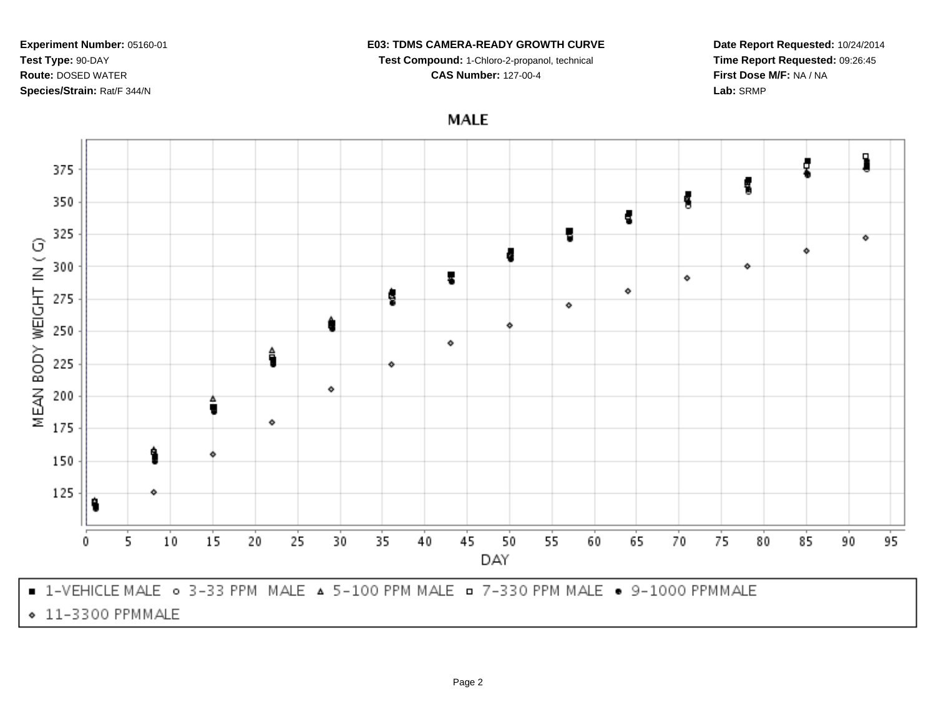### **E03: TDMS CAMERA-READY GROWTH CURVE**

**Test Compound:** 1-Chloro-2-propanol, technical

**CAS Number:** 127-00-4



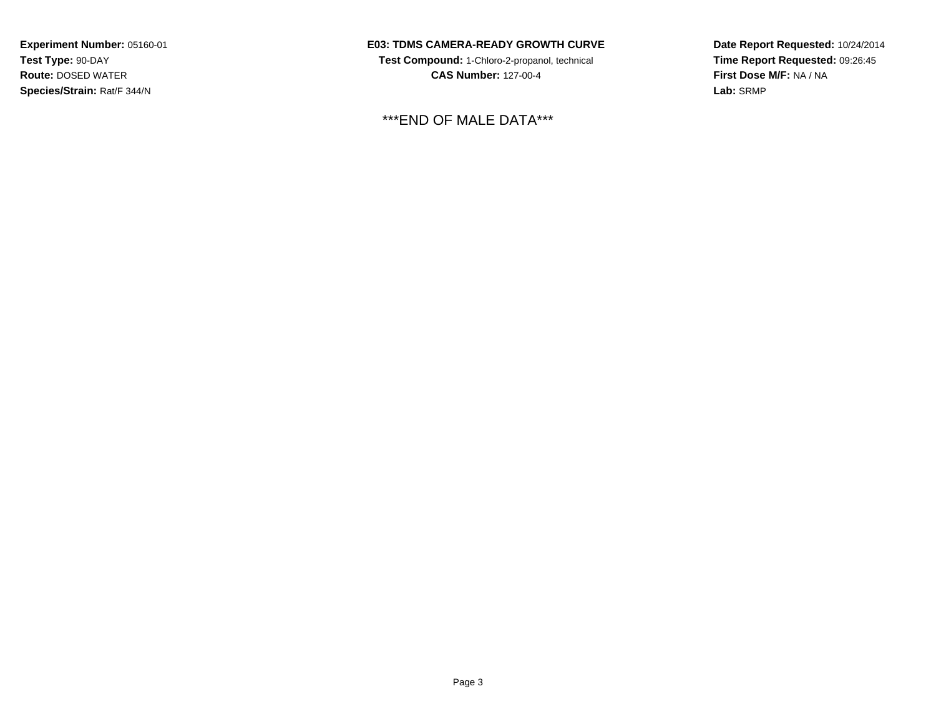### **E03: TDMS CAMERA-READY GROWTH CURVE**

**Test Compound:** 1-Chloro-2-propanol, technical **CAS Number:** 127-00-4

\*\*\*END OF MALE DATA\*\*\*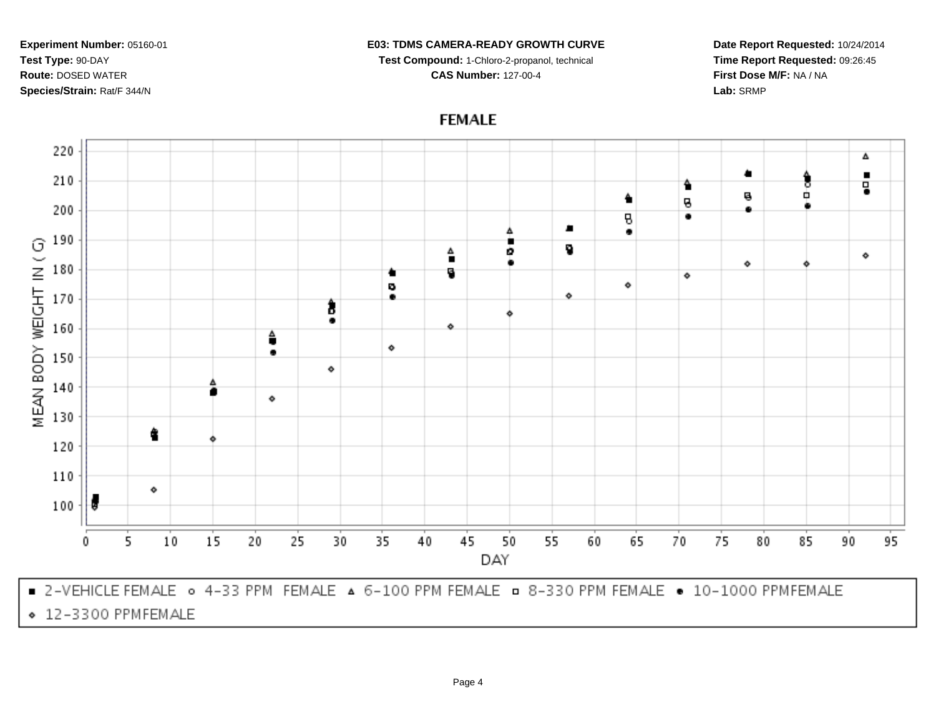### **E03: TDMS CAMERA-READY GROWTH CURVE**

**Test Compound:** 1-Chloro-2-propanol, technical

**CAS Number:** 127-00-4

**Date Report Requested:** 10/24/2014**Time Report Requested:** 09:26:45**First Dose M/F:** NA / NA**Lab:** SRMP

# **FEMALE**